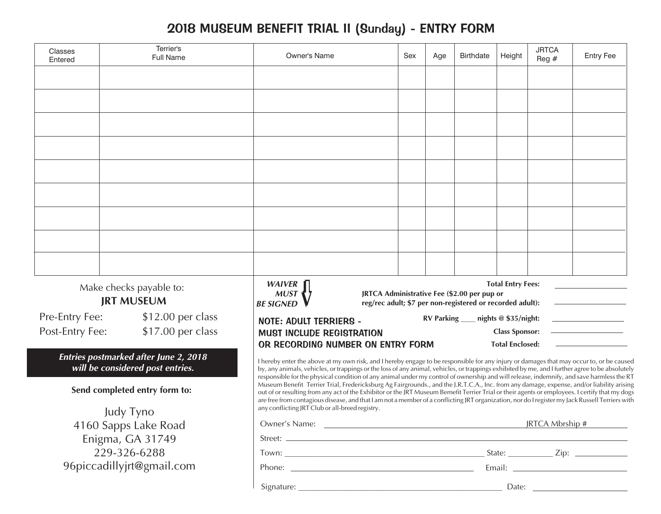## 2018 MUSEUM BENEFIT TRIAL II (Sunday) - ENTRY FORM

| Classes<br>Entered                           | Terrier's<br>Full Name                       | <b>Owner's Name</b>                                                                                                                                                                                                                                                                                                                                                                                                                            | Sex | Age               | <b>Birthdate</b> | Height                 | <b>JRTCA</b><br>Reg $#$ | <b>Entry Fee</b> |
|----------------------------------------------|----------------------------------------------|------------------------------------------------------------------------------------------------------------------------------------------------------------------------------------------------------------------------------------------------------------------------------------------------------------------------------------------------------------------------------------------------------------------------------------------------|-----|-------------------|------------------|------------------------|-------------------------|------------------|
|                                              |                                              |                                                                                                                                                                                                                                                                                                                                                                                                                                                |     |                   |                  |                        |                         |                  |
|                                              |                                              |                                                                                                                                                                                                                                                                                                                                                                                                                                                |     |                   |                  |                        |                         |                  |
|                                              |                                              |                                                                                                                                                                                                                                                                                                                                                                                                                                                |     |                   |                  |                        |                         |                  |
|                                              |                                              |                                                                                                                                                                                                                                                                                                                                                                                                                                                |     |                   |                  |                        |                         |                  |
|                                              |                                              |                                                                                                                                                                                                                                                                                                                                                                                                                                                |     |                   |                  |                        |                         |                  |
|                                              |                                              |                                                                                                                                                                                                                                                                                                                                                                                                                                                |     |                   |                  |                        |                         |                  |
|                                              |                                              |                                                                                                                                                                                                                                                                                                                                                                                                                                                |     |                   |                  |                        |                         |                  |
|                                              |                                              |                                                                                                                                                                                                                                                                                                                                                                                                                                                |     |                   |                  |                        |                         |                  |
|                                              |                                              |                                                                                                                                                                                                                                                                                                                                                                                                                                                |     |                   |                  |                        |                         |                  |
|                                              |                                              |                                                                                                                                                                                                                                                                                                                                                                                                                                                |     |                   |                  |                        |                         |                  |
|                                              |                                              |                                                                                                                                                                                                                                                                                                                                                                                                                                                |     |                   |                  |                        |                         |                  |
|                                              |                                              |                                                                                                                                                                                                                                                                                                                                                                                                                                                |     |                   |                  |                        |                         |                  |
|                                              |                                              |                                                                                                                                                                                                                                                                                                                                                                                                                                                |     |                   |                  |                        |                         |                  |
| Make checks payable to:<br><b>JRT MUSEUM</b> |                                              | <b>Total Entry Fees:</b><br>WAIVER<br>MUST<br>JRTCA Administrative Fee (\$2.00 per pup or<br>reg/rec adult; \$7 per non-registered or recorded adult):<br><b>BE SIGNED</b>                                                                                                                                                                                                                                                                     |     |                   |                  |                        |                         |                  |
| Pre-Entry Fee:                               | \$12.00 per class                            | <b>NOTE: ADULT TERRIERS -</b>                                                                                                                                                                                                                                                                                                                                                                                                                  |     | <b>RV Parking</b> |                  | nights $@$ \$35/night: |                         |                  |
| Post-Entry Fee:                              | \$17.00 per class                            | <b>MUST INCLUDE REGISTRATION</b>                                                                                                                                                                                                                                                                                                                                                                                                               |     |                   |                  | <b>Class Sponsor:</b>  |                         |                  |
|                                              | <b>Entries postmarked after June 2, 2018</b> | OR RECORDING NUMBER ON ENTRY FORM                                                                                                                                                                                                                                                                                                                                                                                                              |     |                   |                  | <b>Total Enclosed:</b> |                         |                  |
|                                              | will be considered post entries.             | I hereby enter the above at my own risk, and I hereby engage to be responsible for any injury or damages that may occur to, or be caused<br>by, any animals, vehicles, or trappings or the loss of any animal, vehicles, or trappings exhibited by me, and I further agree to be absolutely<br>responsible for the physical condition of any animal under my control of ownership and will release, indemnify, and save harmless the RT        |     |                   |                  |                        |                         |                  |
|                                              | Send completed entry form to:                | Museum Benefit Terrier Trial, Fredericksburg Ag Fairgrounds., and the J.R.T.C.A., Inc. from any damage, expense, and/or liability arising<br>out of or resulting from any act of the Exhibitor or the JRT Museum Bemefit Terrier Trial or their agents or employees. I certify that my dogs<br>are free from contagious disease, and that I am not a member of a conflicting JRT organization, nor do I register my Jack Russell Terriers with |     |                   |                  |                        |                         |                  |
| Judy Tyno                                    |                                              | any conflicting JRT Club or all-breed registry.                                                                                                                                                                                                                                                                                                                                                                                                |     |                   |                  |                        |                         |                  |
| 4160 Sapps Lake Road                         |                                              | JRTCA Mbrship #                                                                                                                                                                                                                                                                                                                                                                                                                                |     |                   |                  |                        |                         |                  |
| Enigma, GA 31749<br>229-326-6288             |                                              |                                                                                                                                                                                                                                                                                                                                                                                                                                                |     |                   |                  |                        |                         |                  |
| 96piccadillyjrt@gmail.com                    |                                              |                                                                                                                                                                                                                                                                                                                                                                                                                                                |     |                   |                  |                        |                         |                  |
|                                              |                                              |                                                                                                                                                                                                                                                                                                                                                                                                                                                |     |                   |                  |                        |                         |                  |
|                                              |                                              |                                                                                                                                                                                                                                                                                                                                                                                                                                                |     |                   |                  |                        |                         |                  |